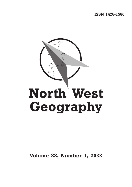**ISSN 1476-1580**



**Volume 22, Number 1, 2022**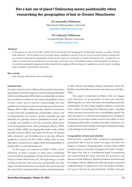# **Not a hair out of place? Embracing messy positionality when researching the geographies of hair in Greater Manchester**

# **Dr Samantha Wilkinson**

Manchester Metropolitan University [samantha.wilkinson@mmu.ac.uk](mailto:samantha.wilkinson%40mmu.ac.uk?subject=)

**Dr Catherine Wilkinson**  Liverpool John Moores University [c.wilkinson@ljmu.ac.uk](mailto:c.wilkinson%40ljmu.ac.uk?subject=)

### **Abstract**

In this paper, we respond to Folke's (2022) call for moving beyond 'shopping list' positionality. Instead, we utilise 'kitchen table reflexivity' and in/visible tools to develop reflexive qualitative research. To do so, we use researcher diary excerpts from our research exploring the geographies of hair (on the head, face and body) in Greater Manchester, UK. In particular, we reflect on: motivations for pursing the research topic; researcher voice; and building rapport with participants. By doing so, we provide meaningful engagement with positionality throughout different stages of a qualitative research project, avoiding static and hollow positionality statements.

## **Key words:**

Hair; Identity; Manchester; Place; Positionality

## **Introduction**

For quite some time now, influenced by feminist researchers, geographers have been urged to examine their positionality reflexively (Kobayashi, 2003); that is, to analytically scrutinise one's position in relation to the social and political context of their work, and to actively acknowledge that this position has an impact on the research process and outcome (Berger, 2015). Folkes (2022) recently called for researchers to move beyond 'shopping list' positionality, where a list of characteristics, for instance: gender, sexuality, age and ethnicity are typically stated in published research, and it is simply said whether or not the researcher shares these socio-demographic traits with participants (Reyes, 2020). Instead, Folkes (2022), developing the earlier work of Kohl and McCutcheon (2015), advocates for the use of 'kitchen table reflexivity' and in/visible tools to develop reflexive qualitative research. By this, Folkes (2022) refers to how talk allows researchers to outline shifts and adaptability in positionality as research progresses.

In this paper, we respond to Folke's (2022) call by reflecting on diary excerpts we kept when conducting research into the geographies of hair (on the head, face and body) in Greater Manchester, UK. Through doing so, we aim to bring to the fore how researcher positionality not only shapes research motivations, but situates the researcher and the 'researched', and impacts the creation and interpretation of data, thereby developing deeper discussions about the fluidity of positionality across the research process (Folkes, 2022).

This paper is structured as follows: first, we engage with literature on geographies of hair and identity. Following this, we cohere literature surrounding researcher positionality. We then bring together reflective researcher diary entries surrounding the following topics: deciding what to research; researcher voice; and building rapport. We draw the paper to a close by encouraging other qualitative researchers to provide candid accounts and reflect on their changing positionality, ensuring that these reflections are synthesised into their writing at all stages, be that theoretical, methodological and analytical.

## **Geographies of hair and identity**

Hair has been a research topic of interest to geographers, particularly due to how it varies over space and time. For instance, writing on the geographies of hair, Holton (2020) examines hair as a lens that reimagines the body's borders. He argues that hair is a fundamental agent in producing and representing the body, and that the presences and absences of hair influence, disturb, transform and transcend its margins. Holton (2020) posits that hair shapes corporeal understandings of appearance and can project identities and power beyond its physical limits. Further, drawing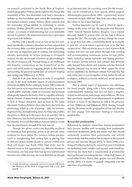on research conducted in the North West of England, human geographer Holmes (2014) explores the changeable materiality of hair. She illuminates how hair's chameleon abilities are the foundation upon which the contemporary hair fashion industry resides. Holmes (2014) contends that the materiality of hair inhibits its conformity to certain fashions. Holmes (2014:95) coins the term the 'palimpsest of hair', as a means of understanding hair as an inimitable record of a person's life which documents layer upon layer of previous hair fashions.

Further, with a specific focus on hair on the face and, more specifically, eyebrows, elsewhere we have argued that the everyday (little c) creative practice of eyebrow grooming is not only an important part of crafting and performing identity, particularly for Scouse (relating to Liverpool) women, but also an example of bottom-up placemaking in the city of Liverpool, UK. Through doing so, we challenged the negative commentary on the Scousebrow $^1$  in the press and social media by engaging people in discussions surrounding the personal significance of eyebrow shaping and styling (see Wilkinson *et al.*, 2019).

Hair, be it on your head, face or body, is recognised as one of the most malleable aspects of self-presentation (Hirschman, 2002). Earlier writing by Synott (1987) contends that hair serves as an important cultural artefact, because it is both public (typically visible to everyone) and personal (biologically linked to the body). Hair is a signifier of beauty and is a feature of many female protagonists (one has only to look at Disney characters such as Ariel in The Little Mermaid). Further, children's fairy tales have also led to the positioning of hair as a rite of passage – take, for instance, Rapunzel who, through letting down her long hair, enables the prince to climb up to the tower she is in, and they fall in love. Moreover, hair has been presented as a source of power. For instance, it was told that biblical character Samson would lose his superhuman strength if his hair was cut.

Though the above stories are, arguably, mythical or fantastical, hair grooming practices do provide some evidence for these claims. For instance, styling practices (such as straightening hair, curling hair, or placing hair in different styles) enables people to exercise control over their self-images (see Rook, 1985). Hair styles may be deemed more or less appropriate for different situations. For instance, one may wear their hair up for a sophisticated formal event, whilst one may also wear their hair up, though in an informal style, for a sporting event. For the 'wearer', hair can be considered to have special, almost magical, transformative powers (Rook, 1985) – a person may receive comments on how 'different' they look when they change the colour or cut of their hairstyle.

Further, hairstyles can be used to effect or signal a change in the inner self (see McAlexander and Schouten, 1989). Indeed, French fashion designer Coco Chanel famously stated: "a woman who cuts her hair is about to change her life". For example, one may change the colour or cut of their hair after a relationship break up to signify a 'new me', or even before a special event to be the 'best version of me'. Hair can also be seen as a tool of power. Both women and men can seek power through both resisting and accommodating mainstream norms for hair (Weitz, 2001), including certain hairstyles and dyeing practices. For instance, certain schools and colleges may promote only 'natural' hair colours, and someone who has their hair brightly coloured may be seen to 'rebel' against the social norms established by dominant culture. Not only this, but hair can be seen as a social signifier: it may define the self on a religious, political, economic, social and sexual spectrum (Synnott, 1987).

Hair is central aspect of appearance and self-image for many people, along with a form of place-making, understandably therefore hair loss can have a negative impact on self-esteem, body image and confidence. We have thus previously argued for an advancement of qualitative research to focus on the absence, as well as the presence, of hair (Wilkinson and Wilkinson, 2019). Having brought together literature on the geographies of hair and identity, we now engage with literature relating to researcher positionality.

#### **Researcher positionality**

Influenced by feminist researchers, human geographers have become familiar with examining their positionality reflexively (Kobayashi, 2003); this means that they should analytically scrutinise their positionality, and actively acknowledge that this position has an impact on the research process and outcome (Berger, 2015). As Hurd (1998) notes, being self-reflexive during the research process is beneficial for facilitating more complex and layered understandings. However, we claim that a consideration of positionality must go beyond unmasking the key, 'categorical' frames of social subjectivities: that is, class, gender, race and ethnicity (Noble, 2009), if it wishes to grapple adequately with the

<sup>1:</sup> A style of eyebrow, commonly seen in Liverpool, UK, where messiness of positionality. the thickness of the brow is exaggerated with a very dark pencil.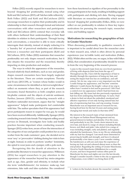Folkes (2022) recently argued for researchers to move beyond 'shopping list' positionality, instead using what Kohl and McCutcheon (2015) call 'kitchen table reflexivity'. Both Folkes (2022) and Kohl and McCutcheon (2015) encourage researchers to explore their positionality and its relationship to their research through formal and informal conversations with other researchers and participants. Kohl and McCutheon (2015) contend that everyday talk with others furthered their understandings of their fluid identities in relation to their participants. Through having such conversations, a researcher is able to more critically interrogate their identity, instead of simply reducing it to a 'laundry list' of perceived similarities and differences between a researcher and their participants (Kohl and McCutheon, 2015). Folkes (2022) maintains that researcher positionality not only shapes research motivations, but it also situates the researcher and the researched, thereby impacting on data production and analysis.

The ways in which the appearance of the researcher, beyond relatively fixed attributes, such as race and gender, shapes research encounters have been largely neglected in the literature. There are certain exceptions. Throsby and Evans (2013:339), as "women whose bodies would in some circumstances be identified as fat/overweight/obese" reflect on moments where they, as part of the research encounter, found themselves as both complicit actors in fat-phobic contexts and the objects of anti-fat sentiment. Further, Jansson (2010:21), conducting research with a Southern nationalist movement, argues that his "straight appearance" helped make participants feel comfortable with him. The author speculates that if his appearance had given participants reason to suspect he was gay, he would have been received differently. Additionally, Spanger (2012), conducting research into female Thai migrants selling sexual services in Denmark, investigates how looks and bodily practices become important when conducting research. Spanger (2012) writes how, aware of how the intersection of the categories of race and gender could position her as a sex worker from the male customers' gaze, she decided not to wear 'sexy' or 'provocative' clothing during her visits to bars at night. Instead, in order to perform 'another' femininity, she opted to wear jeans and a jumper, with a polo neck.

Recognising this the dearth of attention in the positionality literature to researcher appearance, Wilkinson (2016) has urged researchers to pay attention to the appearance of the researcher beyond key meta-categories such as age, class, gender and ethnicity, to include what she term 'embellishments'; for instance: make-up, hair extensions, fake nails and false eyelashes. She considered

how these functioned as signifiers of her personality to the young participants in her study, resulting in building rapport with participants and eliciting rich data. Having engaged with literature on researcher positionality which moves beyond 'shopping list' positionality (Folkes, 2022), we now reflect on our positionality in relation to three key topics: motivations for pursuing the research topic; researcher voice; and building rapport.

# **Motivations for researching the geographies of hair in Greater Manchester**

When discussing positionality in qualitative research, it is important to be candid about how the researcher came to their research area, which is often driven by personal experiences (our in/visible tools) and motivation (Folkes, 2022). Whilst often not the case, we argue, in line with Folkes (2022), that consideration of positionality should be woven in from the very beginning of the research process:

I came to this research topic from my own lived experience of living with alopecia (hair loss) from the age of 7. Throughout my life, I have felt the importance of hair to identity through the experience of losing my hair, and seeing the impact hair loss has on confidence, and selfesteem. Yet, for me, wigs were a very important way that I could change my appearance, and 'become' someone different. I could choose the length / colour of my wig to reflect how I wanted to feel and be perceived. I felt I had a control over my appearance which I had lost from my hair falling out. My mum had also previously experienced hair loss from undergoing chemotherapy. As such, I had a desire to find out about the embodied, emotional and affective experience of not only having natural hair, but also of experiencing hair loss, and wig wearing. Greater Manchester was an important area to research for me, having lived here for the last 14 years and seeing many changing hair trends and styles in that time  $(SW)^2$ .

My interest in the research topic of hair stemmed from my degree on Fashion Brand Management and my general interest in fashion and identity. Over the years, and particularly in my 20s, I took a keen interest in my own hair, and dyed it a range of colours including blonde, brown, red, black and pink. I also styled it in a range of ways including straight, curly and plaited, and regularly attended the hairdressers. Now, in my 30s my relationship with my hair has changed. I am much more interested in preserving its health and strength, and have it coloured professionally a few times a year. I now consider visiting the hairdressers as self-care and enjoy the experience of having my hair cut and coloured almost more so than the end product. Regarding the setting of Greater Manchester, I lived in North Manchester (Middleton) for a couple of years, and have frequented various other parts of Manchester for days and nights out over the last decade, though I consider myself a visitor to the city as opposed to a Mancunian, even whilst I was living there (CW).

<sup>2:</sup> Letters in the brackets denote the researcher's initials.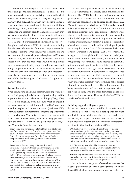From the above excerpts, it could be said that we were undertaking a 'backyard ethnography' – a phrase used to refer to researchers who are studying a world with which they are already familiar (Heley, 2011:219). As Loughran and Mannay (2018) argue, all researchers have stories to tell about why they chose to research particular topics, with there often being a direct, uncomplicated link between personal experience and research agenda. Though researchers may feel vulnerable about telling their own stories, it should be recognised that such stories are not peripheral to the research; indeed, our research is embedded in our selves (Loughran and Mannay, 2018). It is worth remembering that the research topic is often what keeps a researcher motivated to continue when they may be facing hurdles and barriers during the research process (Loughran and Mannay, 2018), and why we often advise our dissertation students to choose a topic they are passionate about. By being explicit about how our positionality shaped our desires to research the geographies of hair in Greater Manchester, we hope to lead to a shift in the conceptualisation of the researcher as solely "an unfortunate necessity for the production of research" to the "beating heart" of research (Loughran and Mannay, 2018:1).

## **Researcher voice**

When conducting qualitative research, it is important not to overlook geographical elements of positionality and the opportunities and/or challenges this brings (Heley, 2011). We are both originally from the South West of England, and as such one of the visible (or rather audible) tools from our ethnographic toolkits was our accents (see Reyes, 2020). This was notably distinct from the majority of participants' accents who were Mancunian. As soon as we spoke with a South-West English accent, we were actively positioned or, in the case of Catherine below, positioned ourselves, as 'not-Mancunian' and therefore 'other':

Today I had one participant state that they could tell I was not 'from around here'. A few other participants said that I sounded 'posh', perhaps reflective of an imaginary North-South divide, where people from the South of England are perceived as more privileged than their northern counterparts (SW).

I was born in Devon, living in Sidmouth, a small residential town. I lived there until I was eighteen, after which my family moved to Rutland, East Midlands. Consequently, I possess a neutral southern accent and hold a different dialect to many people who I come across in Manchester (despite of course being a diverse city). Some phrases I have heard people use such as 'brew' (cup of tea), 'ginnel' (alley way), set me apart from others and are words I don't feel comfortable incorporating into my own dialect as I don't feel like using them would 'suit me' (CW).

Whilst the significance of accent in developing research relationships has largely gone unnoticed in the literature, Hall (2014), based on research conducted into geographies of families and intimate relations, remarks how she was positioned as an outsider, due to her regional (Yorkshire) accent, marked by her 'flat vowels'. Indeed, Boland (2010:17) contends that "sound is an important, if not defining element in the constitution of identity. Those who possess the appropriate accent/dialect are deemed to rightfully belong while those exhibiting a vocal deemed out of place are consequently sonically excluded". Researchers often aim to be insiders in the culture of their participants, perceiving that minimal social distance offers the basis for rapport (Duncombe and Jessop, 2008). We contend that being perceived as slightly 'different' from our participants (for instance, in terms of our accents, and where we were brought up) was beneficial. Being viewed as somewhat quirky and exotic, participants were intrigued by us and what we did, which we argue motivated some of them to take part in our research. In some instances then, difference, rather than sameness, facilitated productive research relationships. This was something Loftus (2009) found when undertaking research with Northshire police officers, although not in relation to voice. The author contends that being a female, and a health-conscious vegetarian, she did not blend in easily with the male dominated police force that ate various takeaways. However, for Loftus (2009), this 'quirkiness' facilitated access.

## **Building rapport with participants**

Folkes (2022) contends that invisible characteristics such as sharing personal stories with participants can work to alleviate power differences between researcher and participant, as rapport can be established. We reflect on this in the below 'kitchen table' discussion of our researcher positionality (Kohl and McCutcheon, 2015):

**SW:** We have a prospective participant who would like to discuss her experience of hair loss, but she questioned whether she would be eligible to take part in the study due to not having hair. I told her about my own experiences with hair loss and that absolutely she would be included in the study, and we would love to hear her perspectives.

**CW:** Yes, that's great. Would be fantastic to have her involved. I think it would be great if you could interview her, as you would be able to relate more to her story.

**SW:** Actually, I think it may be better for you to interview her, as I might take some things she said for granted, whereas you may ask more curious questions.

In the above exchange, we reflect on how we were able to strategically utilise our visible ethnographic toolkit (see Reyes, 2020), to draw upon our appearance, particularly our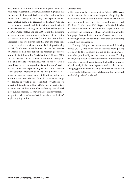hair, or lack of, as a tool to connect with participants and build rapport. Samantha, living with hair loss, highlights that she was able to draw on this element of her positionality to connect with participants who may have experienced hair loss, enabling them to be recruited to the study. Alopecia is emotionally charged, and the individual experiencing it may feel emotions such as grief, loss and pain (Bhargava *et al.*, 2015). Papadopolous and Bor (1999) argue that mourning for one's 'normal' appearance may be part of the coping process for those with alopecia. It is thus important that if a researcher has lived experience that they can share their experiences with participants and make their positionality explicit. In addition to visible tools, such as the presence or absence of hair, throughout the research process we found it pivotal to utilise 'invisible tools' (Reyes, 2010), such as sharing personal stories, in order for participants to be able to relate to us (Folkes, 2022). In our research, it would have been easy to position Samantha as an 'insider' to any participants experiencing hair loss, and Catherine as an 'outsider'. However, as Folkes (2022) discusses, it is important to move beyond simplistic binaries of insider and outsider status. As can be seen through the above exchange, we decided it would be more fruitful for Catherine to interview this participant. Due to Catherine not having lived experience of hair loss, it was felt that she may naturally ask more curious questions, as she would not take any responses for granted, whereas Samantha felt that she, as an 'insider', might be guilty of this.

## **Conclusions**

In this paper, we have responded to Folkes' (2022) recent call for researchers to move beyond 'shopping list' positionality, instead using kitchen table reflexivity and in/visible tools to develop reflexive qualitative research (Kohl and McCutcheon, 2015; Reyes, 2010). We did so by: making explicit how our positionalities shaped our desires to research the geographies of hair in Greater Manchester; bringing to the fore the importance of researcher voice; and discussing how our positionalities facilitated us in building rapport with participants.

Through doing so, we have demonstrated, following Folkes (2022), that much can be learned from paying attention to the transient nature of the influence of researcher positionality on the research process. Echoing Folkes (2022), we conclude by encouraging other qualitative researchers to provide candid accounts about the messiness of positionality in the research process, and to reflect on their changing positionalities, ensuring that these reflections are synthesised into their writing at all stages, be that theoretical, methodological and analytical.